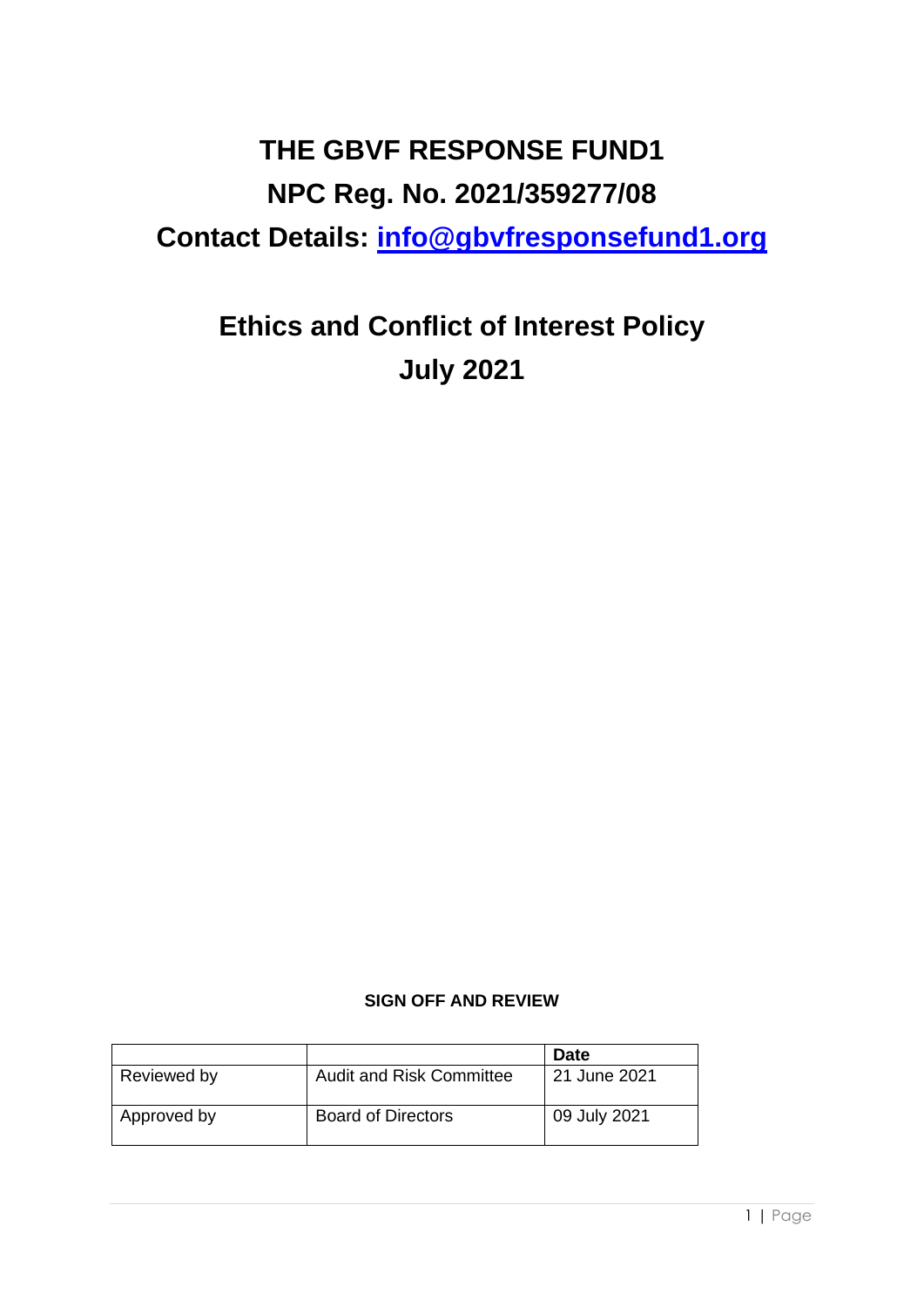# **THE GBVF RESPONSE FUND1 NPC Reg. No. 2021/359277/08 Contact Details: [info@gbvfresponsefund1.org](mailto:info@gbvfresponsefund1.org)**

# **Ethics and Conflict of Interest Policy July 2021**

# **SIGN OFF AND REVIEW**

|             |                                 | <b>Date</b>  |
|-------------|---------------------------------|--------------|
| Reviewed by | <b>Audit and Risk Committee</b> | 21 June 2021 |
| Approved by | <b>Board of Directors</b>       | 09 July 2021 |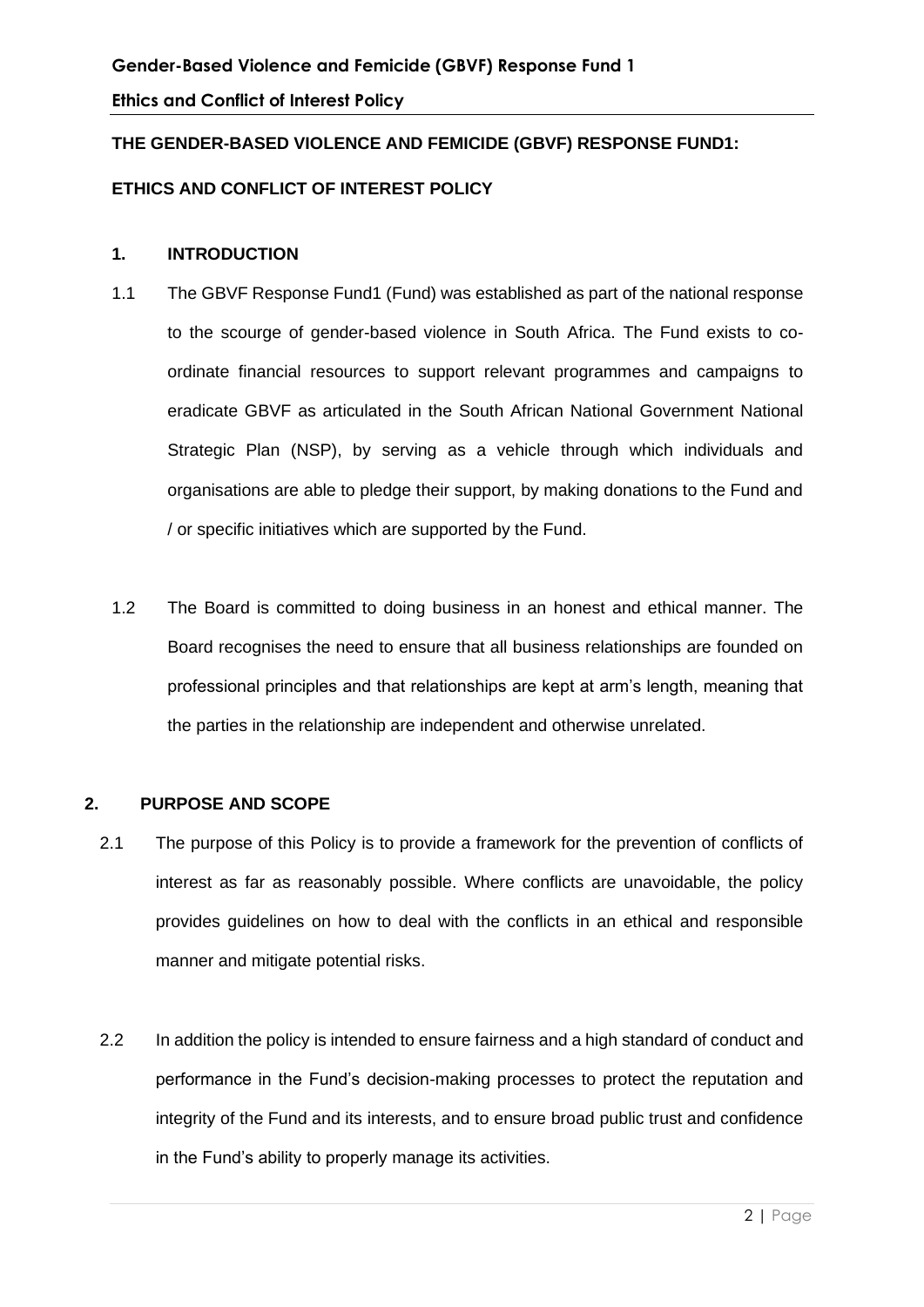# **THE GENDER-BASED VIOLENCE AND FEMICIDE (GBVF) RESPONSE FUND1:**

## **ETHICS AND CONFLICT OF INTEREST POLICY**

#### **1. INTRODUCTION**

- 1.1 The GBVF Response Fund1 (Fund) was established as part of the national response to the scourge of gender-based violence in South Africa. The Fund exists to coordinate financial resources to support relevant programmes and campaigns to eradicate GBVF as articulated in the South African National Government National Strategic Plan (NSP), by serving as a vehicle through which individuals and organisations are able to pledge their support, by making donations to the Fund and / or specific initiatives which are supported by the Fund.
- 1.2 The Board is committed to doing business in an honest and ethical manner. The Board recognises the need to ensure that all business relationships are founded on professional principles and that relationships are kept at arm's length, meaning that the parties in the relationship are independent and otherwise unrelated.

#### **2. PURPOSE AND SCOPE**

- 2.1 The purpose of this Policy is to provide a framework for the prevention of conflicts of interest as far as reasonably possible. Where conflicts are unavoidable, the policy provides guidelines on how to deal with the conflicts in an ethical and responsible manner and mitigate potential risks.
- 2.2 In addition the policy is intended to ensure fairness and a high standard of conduct and performance in the Fund's decision-making processes to protect the reputation and integrity of the Fund and its interests, and to ensure broad public trust and confidence in the Fund's ability to properly manage its activities.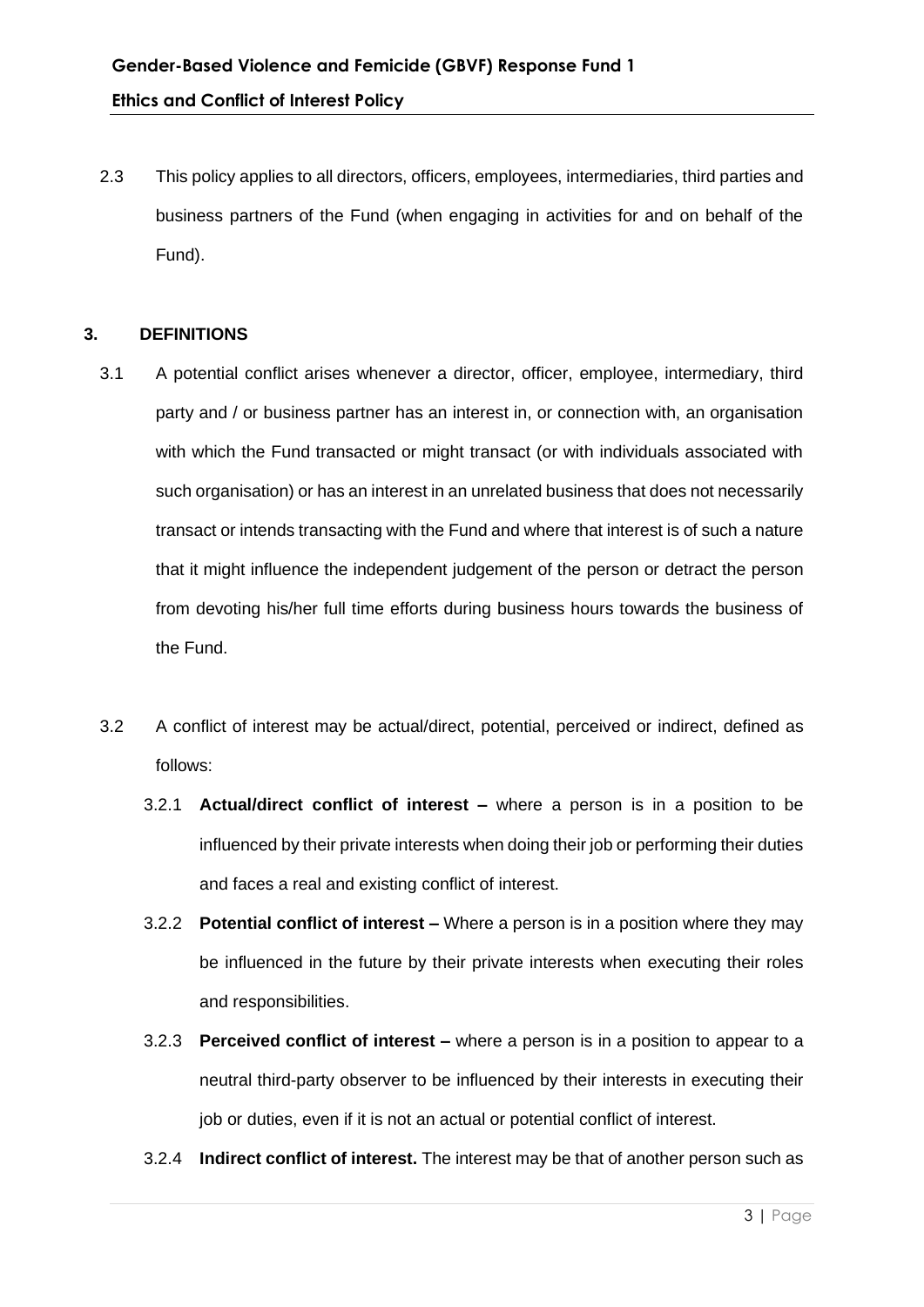2.3 This policy applies to all directors, officers, employees, intermediaries, third parties and business partners of the Fund (when engaging in activities for and on behalf of the Fund).

#### **3. DEFINITIONS**

- 3.1 A potential conflict arises whenever a director, officer, employee, intermediary, third party and / or business partner has an interest in, or connection with, an organisation with which the Fund transacted or might transact (or with individuals associated with such organisation) or has an interest in an unrelated business that does not necessarily transact or intends transacting with the Fund and where that interest is of such a nature that it might influence the independent judgement of the person or detract the person from devoting his/her full time efforts during business hours towards the business of the Fund.
- 3.2 A conflict of interest may be actual/direct, potential, perceived or indirect, defined as follows:
	- 3.2.1 **Actual/direct conflict of interest –** where a person is in a position to be influenced by their private interests when doing their job or performing their duties and faces a real and existing conflict of interest.
	- 3.2.2 **Potential conflict of interest –** Where a person is in a position where they may be influenced in the future by their private interests when executing their roles and responsibilities.
	- 3.2.3 **Perceived conflict of interest –** where a person is in a position to appear to a neutral third-party observer to be influenced by their interests in executing their job or duties, even if it is not an actual or potential conflict of interest.
	- 3.2.4 **Indirect conflict of interest.** The interest may be that of another person such as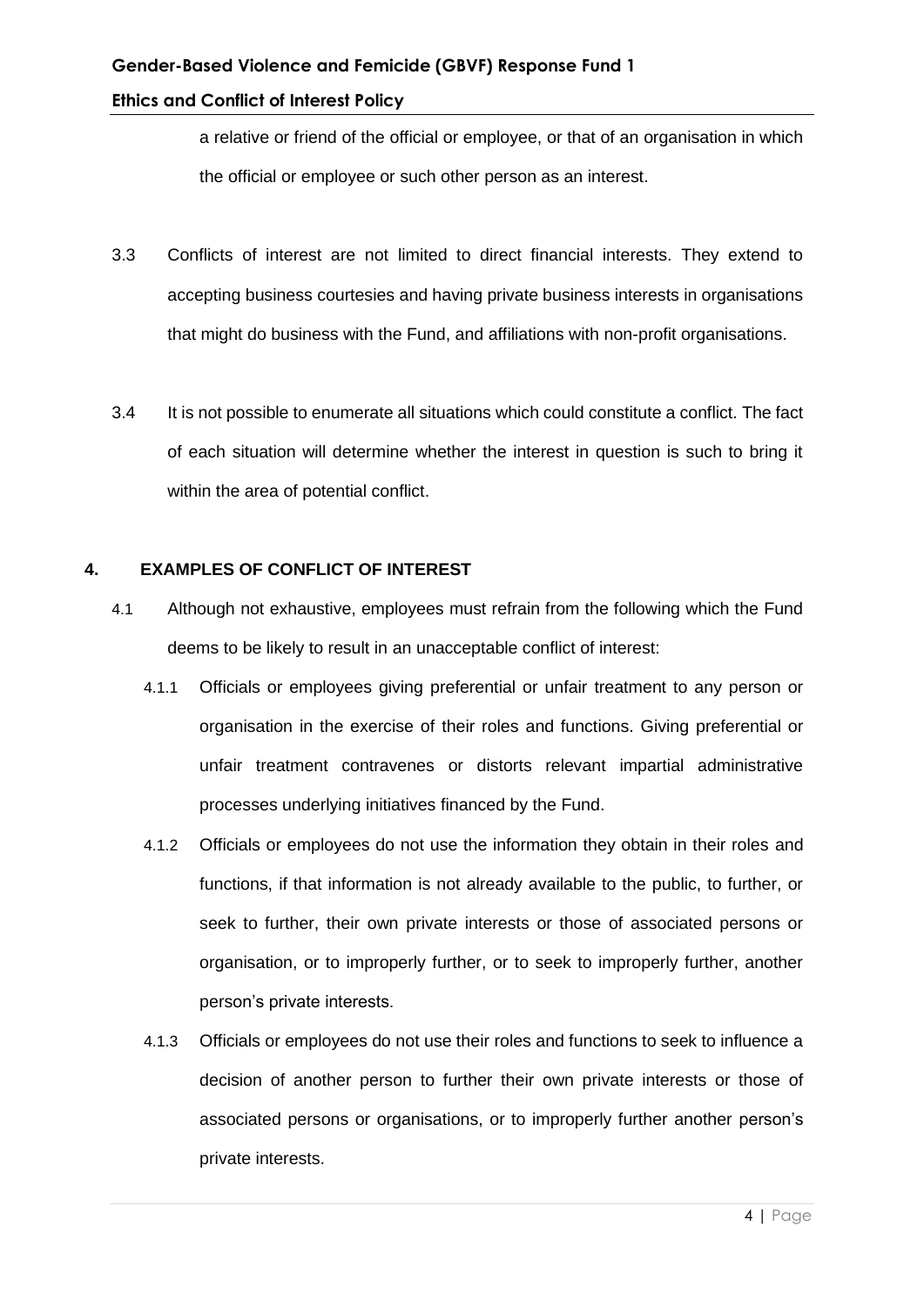a relative or friend of the official or employee, or that of an organisation in which the official or employee or such other person as an interest.

- 3.3 Conflicts of interest are not limited to direct financial interests. They extend to accepting business courtesies and having private business interests in organisations that might do business with the Fund, and affiliations with non-profit organisations.
- 3.4 It is not possible to enumerate all situations which could constitute a conflict. The fact of each situation will determine whether the interest in question is such to bring it within the area of potential conflict.

#### **4. EXAMPLES OF CONFLICT OF INTEREST**

- 4.1 Although not exhaustive, employees must refrain from the following which the Fund deems to be likely to result in an unacceptable conflict of interest:
	- 4.1.1 Officials or employees giving preferential or unfair treatment to any person or organisation in the exercise of their roles and functions. Giving preferential or unfair treatment contravenes or distorts relevant impartial administrative processes underlying initiatives financed by the Fund.
	- 4.1.2 Officials or employees do not use the information they obtain in their roles and functions, if that information is not already available to the public, to further, or seek to further, their own private interests or those of associated persons or organisation, or to improperly further, or to seek to improperly further, another person's private interests.
	- 4.1.3 Officials or employees do not use their roles and functions to seek to influence a decision of another person to further their own private interests or those of associated persons or organisations, or to improperly further another person's private interests.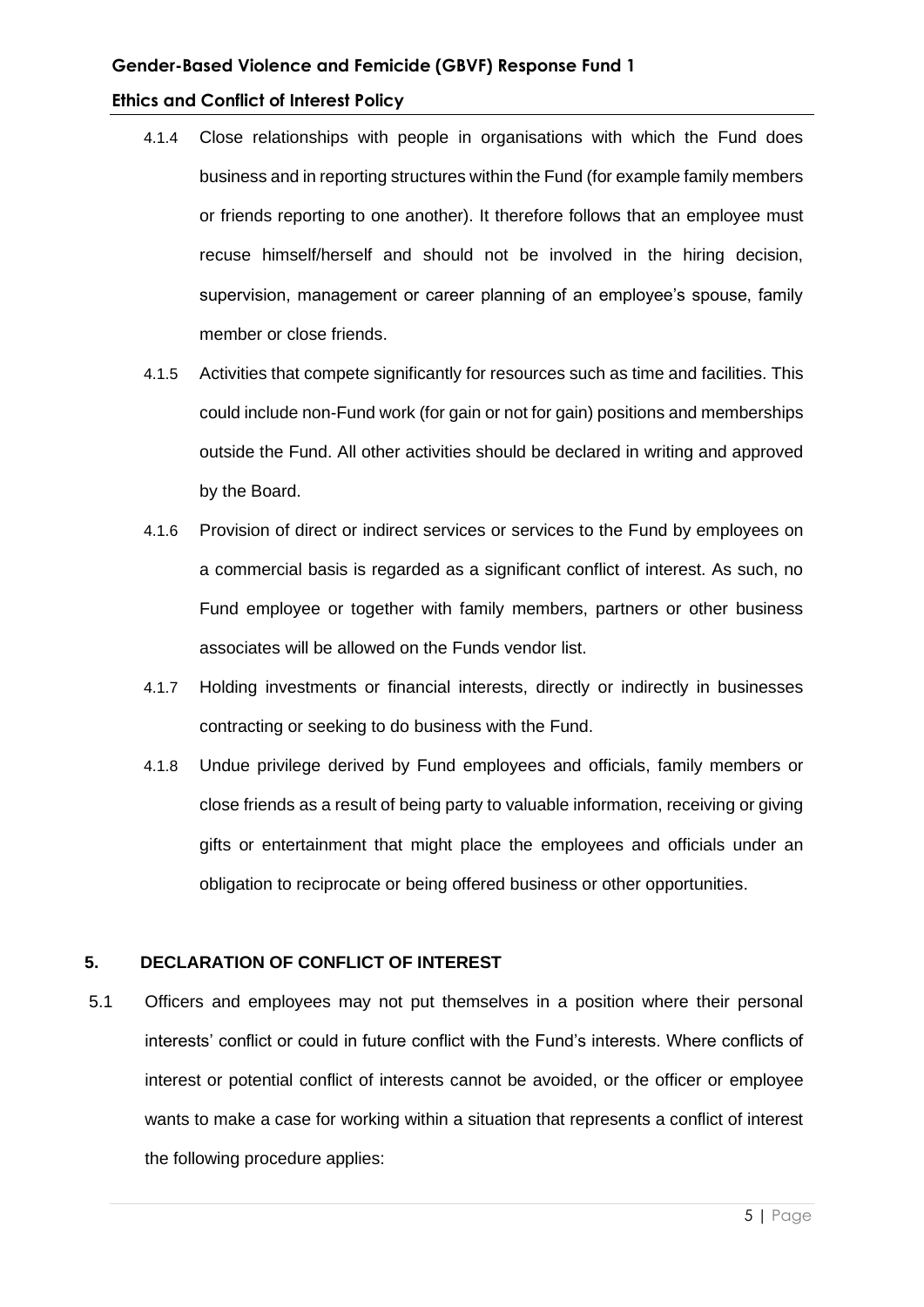- 4.1.4 Close relationships with people in organisations with which the Fund does business and in reporting structures within the Fund (for example family members or friends reporting to one another). It therefore follows that an employee must recuse himself/herself and should not be involved in the hiring decision, supervision, management or career planning of an employee's spouse, family member or close friends.
- 4.1.5 Activities that compete significantly for resources such as time and facilities. This could include non-Fund work (for gain or not for gain) positions and memberships outside the Fund. All other activities should be declared in writing and approved by the Board.
- 4.1.6 Provision of direct or indirect services or services to the Fund by employees on a commercial basis is regarded as a significant conflict of interest. As such, no Fund employee or together with family members, partners or other business associates will be allowed on the Funds vendor list.
- 4.1.7 Holding investments or financial interests, directly or indirectly in businesses contracting or seeking to do business with the Fund.
- 4.1.8 Undue privilege derived by Fund employees and officials, family members or close friends as a result of being party to valuable information, receiving or giving gifts or entertainment that might place the employees and officials under an obligation to reciprocate or being offered business or other opportunities.

#### **5. DECLARATION OF CONFLICT OF INTEREST**

5.1 Officers and employees may not put themselves in a position where their personal interests' conflict or could in future conflict with the Fund's interests. Where conflicts of interest or potential conflict of interests cannot be avoided, or the officer or employee wants to make a case for working within a situation that represents a conflict of interest the following procedure applies: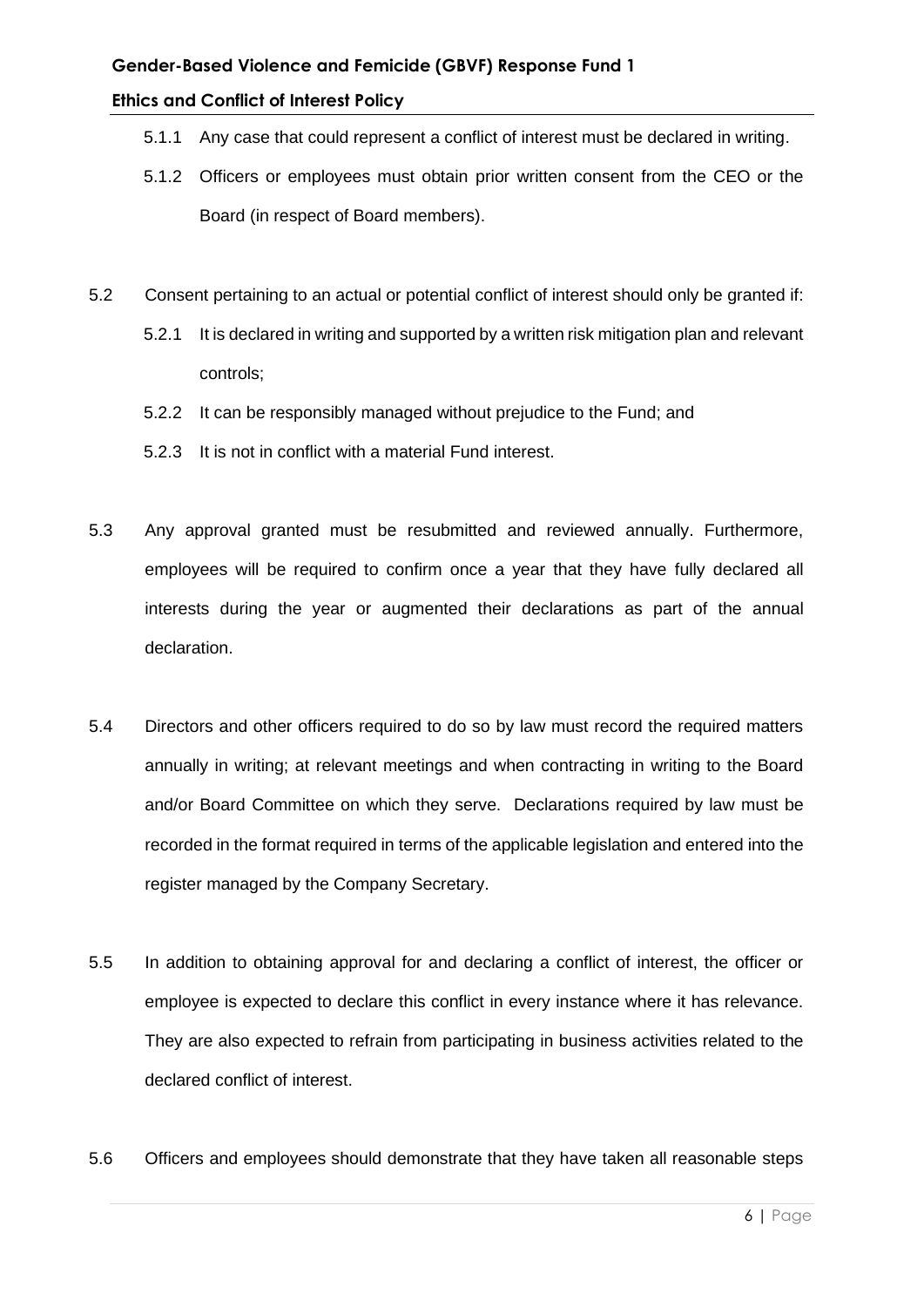- 5.1.1 Any case that could represent a conflict of interest must be declared in writing.
- 5.1.2 Officers or employees must obtain prior written consent from the CEO or the Board (in respect of Board members).
- 5.2 Consent pertaining to an actual or potential conflict of interest should only be granted if:
	- 5.2.1 It is declared in writing and supported by a written risk mitigation plan and relevant controls;
	- 5.2.2 It can be responsibly managed without prejudice to the Fund; and
	- 5.2.3 It is not in conflict with a material Fund interest.
- 5.3 Any approval granted must be resubmitted and reviewed annually. Furthermore, employees will be required to confirm once a year that they have fully declared all interests during the year or augmented their declarations as part of the annual declaration.
- 5.4 Directors and other officers required to do so by law must record the required matters annually in writing; at relevant meetings and when contracting in writing to the Board and/or Board Committee on which they serve. Declarations required by law must be recorded in the format required in terms of the applicable legislation and entered into the register managed by the Company Secretary.
- 5.5 In addition to obtaining approval for and declaring a conflict of interest, the officer or employee is expected to declare this conflict in every instance where it has relevance. They are also expected to refrain from participating in business activities related to the declared conflict of interest.
- 5.6 Officers and employees should demonstrate that they have taken all reasonable steps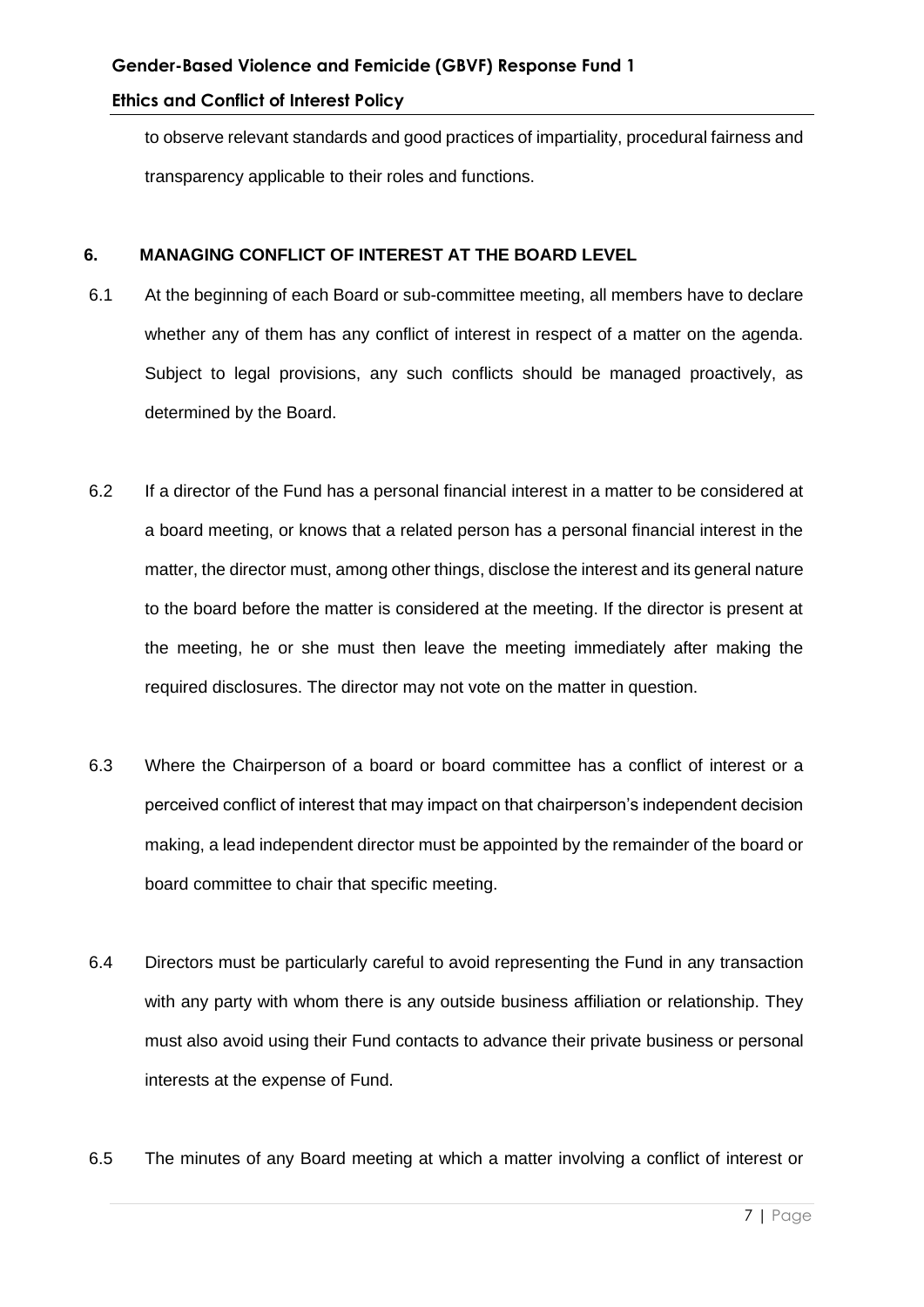to observe relevant standards and good practices of impartiality, procedural fairness and transparency applicable to their roles and functions.

#### **6. MANAGING CONFLICT OF INTEREST AT THE BOARD LEVEL**

- 6.1 At the beginning of each Board or sub-committee meeting, all members have to declare whether any of them has any conflict of interest in respect of a matter on the agenda. Subject to legal provisions, any such conflicts should be managed proactively, as determined by the Board.
- 6.2 If a director of the Fund has a personal financial interest in a matter to be considered at a board meeting, or knows that a related person has a personal financial interest in the matter, the director must, among other things, disclose the interest and its general nature to the board before the matter is considered at the meeting. If the director is present at the meeting, he or she must then leave the meeting immediately after making the required disclosures. The director may not vote on the matter in question.
- 6.3 Where the Chairperson of a board or board committee has a conflict of interest or a perceived conflict of interest that may impact on that chairperson's independent decision making, a lead independent director must be appointed by the remainder of the board or board committee to chair that specific meeting.
- 6.4 Directors must be particularly careful to avoid representing the Fund in any transaction with any party with whom there is any outside business affiliation or relationship. They must also avoid using their Fund contacts to advance their private business or personal interests at the expense of Fund.
- 6.5 The minutes of any Board meeting at which a matter involving a conflict of interest or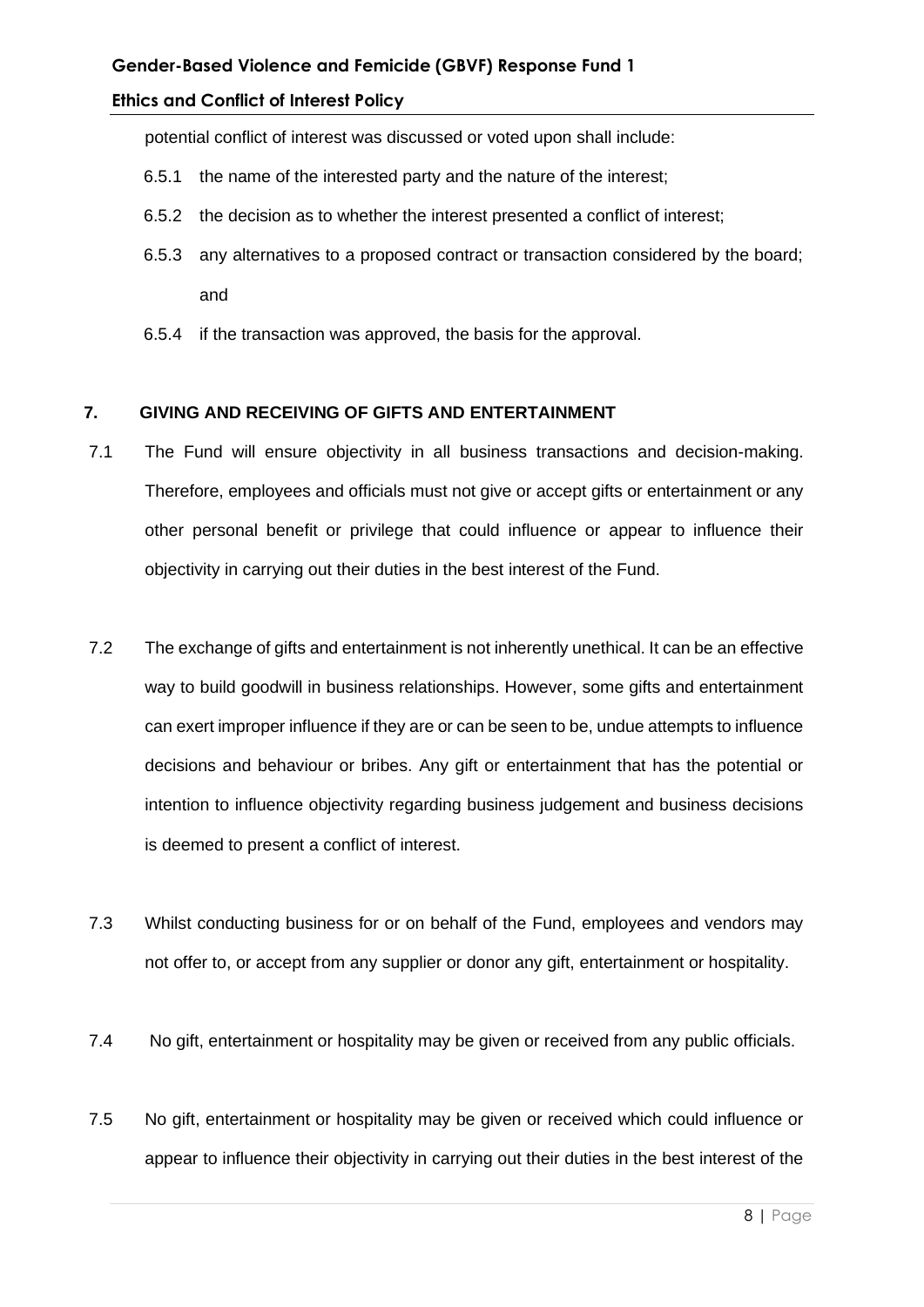potential conflict of interest was discussed or voted upon shall include:

- 6.5.1 the name of the interested party and the nature of the interest;
- 6.5.2 the decision as to whether the interest presented a conflict of interest;
- 6.5.3 any alternatives to a proposed contract or transaction considered by the board; and
- 6.5.4 if the transaction was approved, the basis for the approval.

#### **7. GIVING AND RECEIVING OF GIFTS AND ENTERTAINMENT**

- 7.1 The Fund will ensure objectivity in all business transactions and decision-making. Therefore, employees and officials must not give or accept gifts or entertainment or any other personal benefit or privilege that could influence or appear to influence their objectivity in carrying out their duties in the best interest of the Fund.
- 7.2 The exchange of gifts and entertainment is not inherently unethical. It can be an effective way to build goodwill in business relationships. However, some gifts and entertainment can exert improper influence if they are or can be seen to be, undue attempts to influence decisions and behaviour or bribes. Any gift or entertainment that has the potential or intention to influence objectivity regarding business judgement and business decisions is deemed to present a conflict of interest.
- 7.3 Whilst conducting business for or on behalf of the Fund, employees and vendors may not offer to, or accept from any supplier or donor any gift, entertainment or hospitality.
- 7.4 No gift, entertainment or hospitality may be given or received from any public officials.
- 7.5 No gift, entertainment or hospitality may be given or received which could influence or appear to influence their objectivity in carrying out their duties in the best interest of the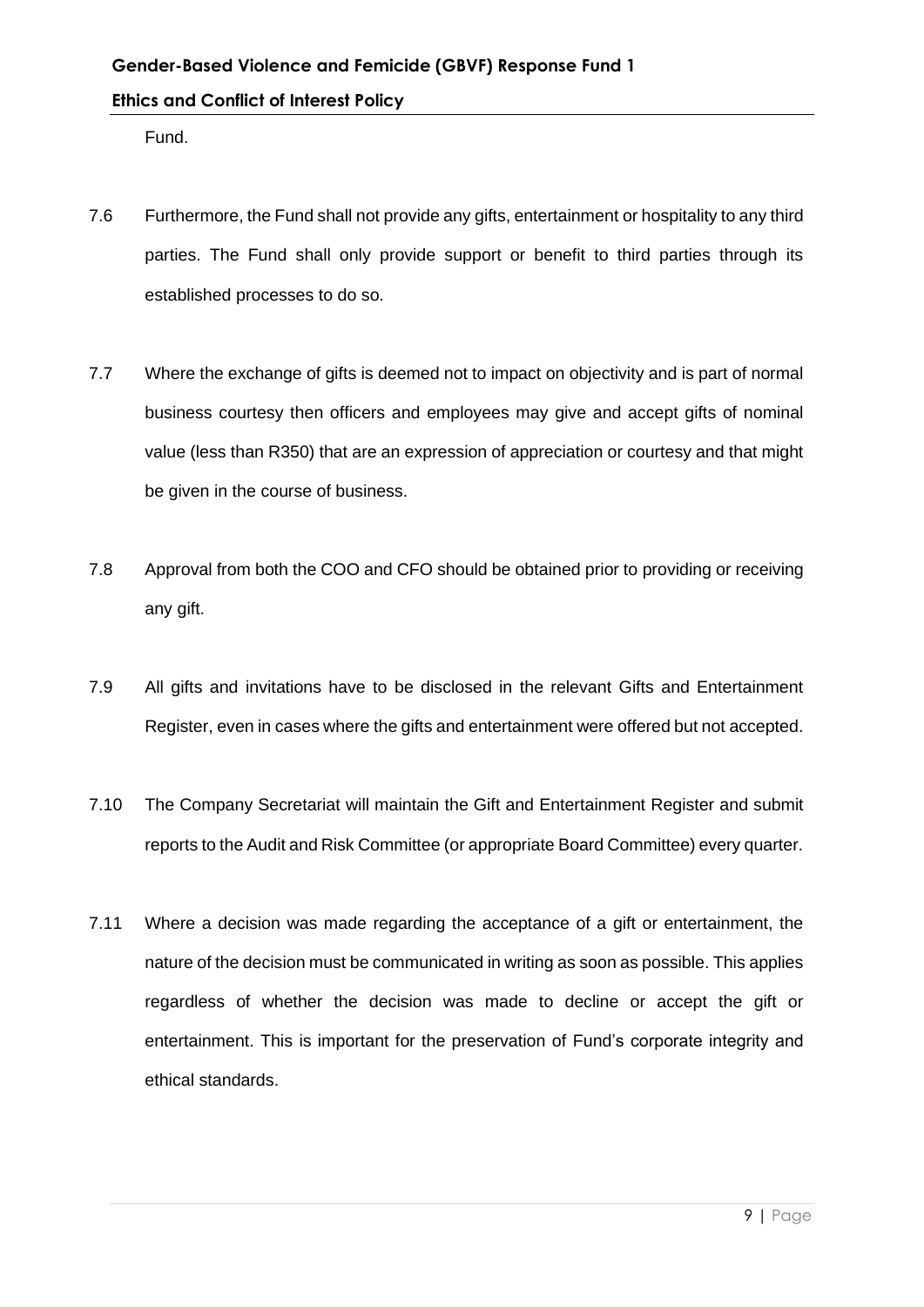Fund.

- 7.6 Furthermore, the Fund shall not provide any gifts, entertainment or hospitality to any third parties. The Fund shall only provide support or benefit to third parties through its established processes to do so.
- 7.7 Where the exchange of gifts is deemed not to impact on objectivity and is part of normal business courtesy then officers and employees may give and accept gifts of nominal value (less than R350) that are an expression of appreciation or courtesy and that might be given in the course of business.
- 7.8 Approval from both the COO and CFO should be obtained prior to providing or receiving any gift.
- 7.9 All gifts and invitations have to be disclosed in the relevant Gifts and Entertainment Register, even in cases where the gifts and entertainment were offered but not accepted.
- 7.10 The Company Secretariat will maintain the Gift and Entertainment Register and submit reports to the Audit and Risk Committee (or appropriate Board Committee) every quarter.
- 7.11 Where a decision was made regarding the acceptance of a gift or entertainment, the nature of the decision must be communicated in writing as soon as possible. This applies regardless of whether the decision was made to decline or accept the gift or entertainment. This is important for the preservation of Fund's corporate integrity and ethical standards.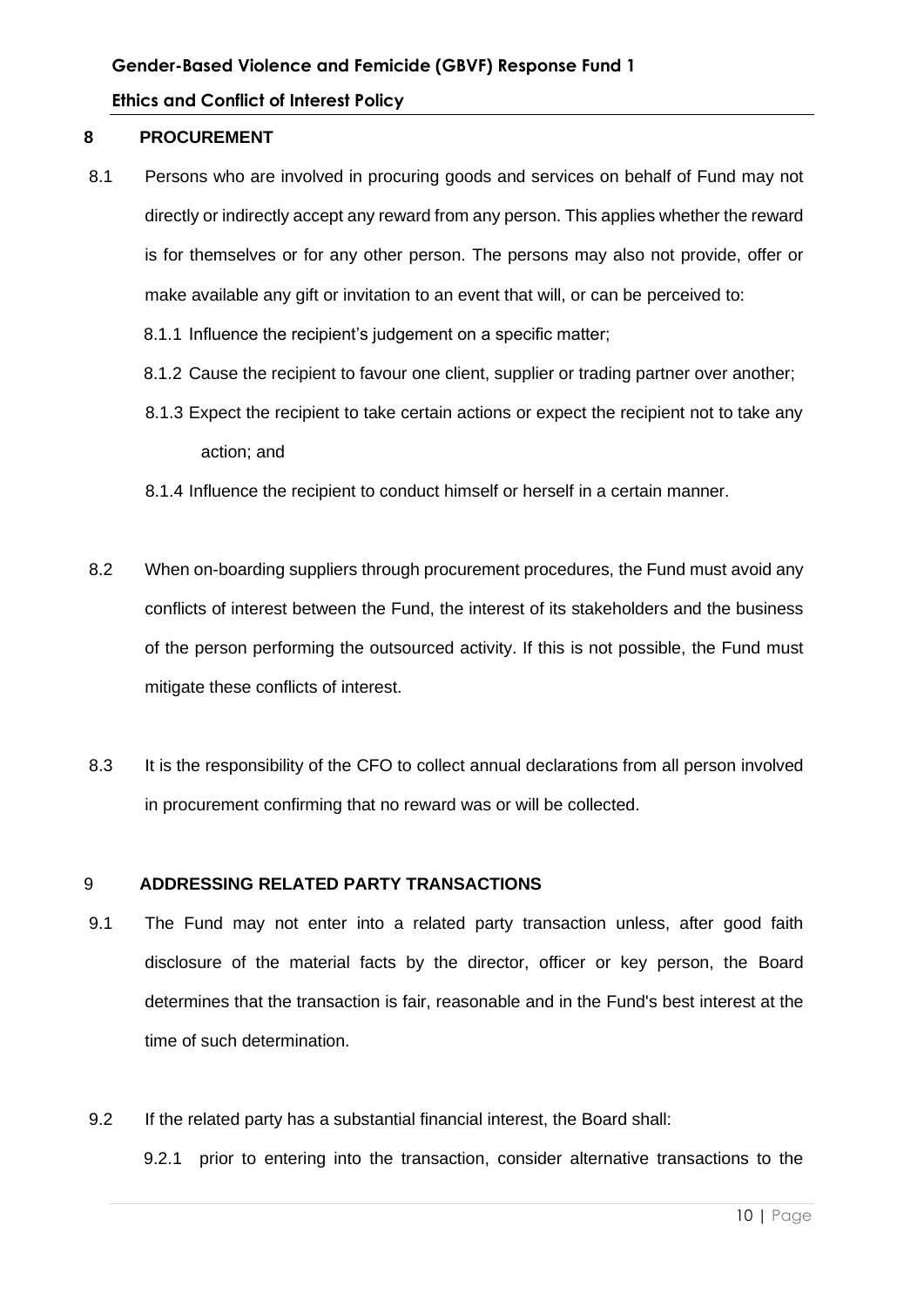#### **8 PROCUREMENT**

- 8.1 Persons who are involved in procuring goods and services on behalf of Fund may not directly or indirectly accept any reward from any person. This applies whether the reward is for themselves or for any other person. The persons may also not provide, offer or make available any gift or invitation to an event that will, or can be perceived to:
	- 8.1.1 Influence the recipient's judgement on a specific matter;
	- 8.1.2 Cause the recipient to favour one client, supplier or trading partner over another;
	- 8.1.3 Expect the recipient to take certain actions or expect the recipient not to take any action; and
	- 8.1.4 Influence the recipient to conduct himself or herself in a certain manner.
- 8.2 When on-boarding suppliers through procurement procedures, the Fund must avoid any conflicts of interest between the Fund, the interest of its stakeholders and the business of the person performing the outsourced activity. If this is not possible, the Fund must mitigate these conflicts of interest.
- 8.3 It is the responsibility of the CFO to collect annual declarations from all person involved in procurement confirming that no reward was or will be collected.

#### 9 **ADDRESSING RELATED PARTY TRANSACTIONS**

- 9.1 The Fund may not enter into a related party transaction unless, after good faith disclosure of the material facts by the director, officer or key person, the Board determines that the transaction is fair, reasonable and in the Fund's best interest at the time of such determination.
- 9.2 If the related party has a substantial financial interest, the Board shall: 9.2.1 prior to entering into the transaction, consider alternative transactions to the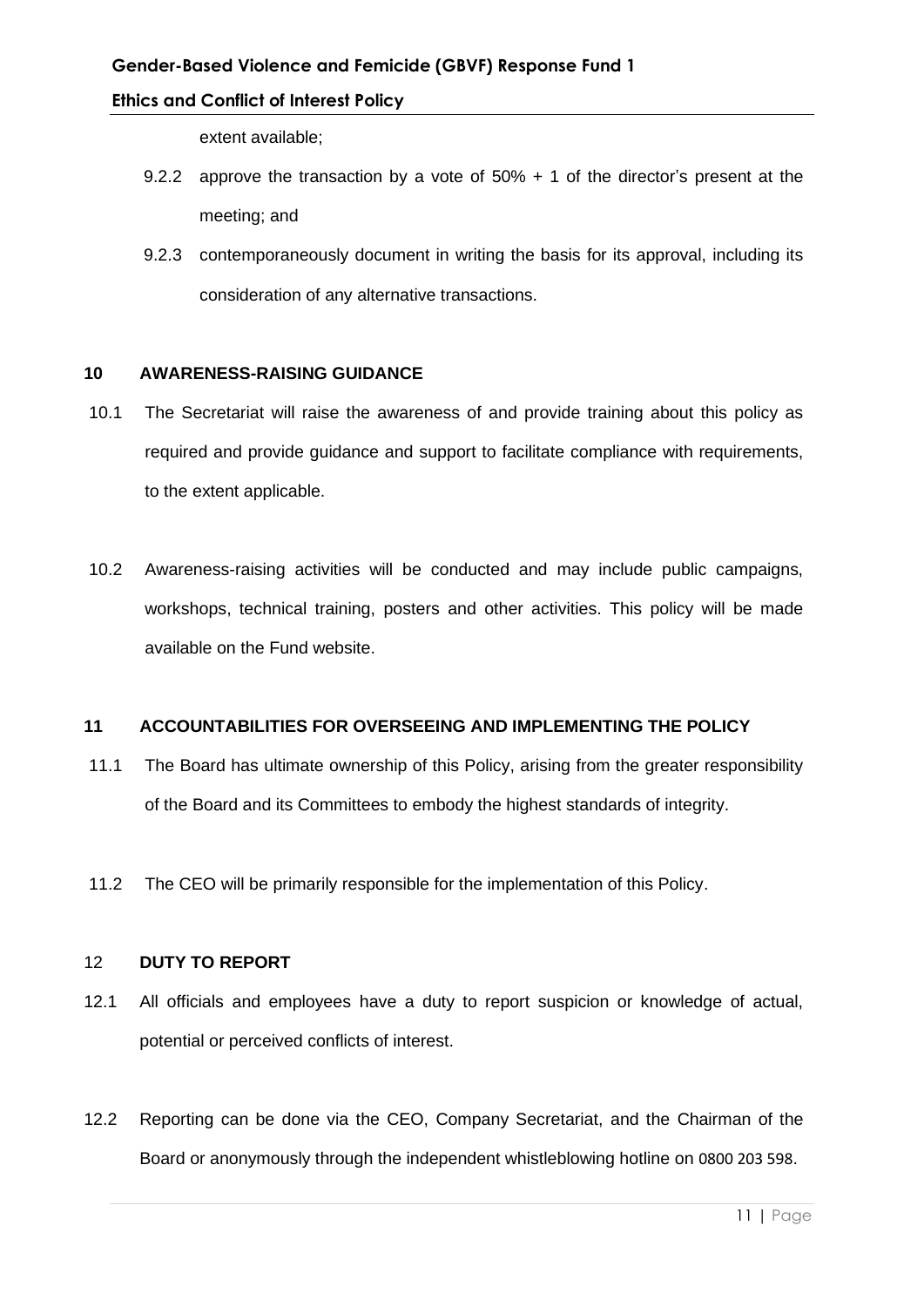extent available;

- 9.2.2 approve the transaction by a vote of 50% + 1 of the director's present at the meeting; and
- 9.2.3 contemporaneously document in writing the basis for its approval, including its consideration of any alternative transactions.

#### **10 AWARENESS-RAISING GUIDANCE**

- 10.1 The Secretariat will raise the awareness of and provide training about this policy as required and provide guidance and support to facilitate compliance with requirements, to the extent applicable.
- 10.2 Awareness-raising activities will be conducted and may include public campaigns, workshops, technical training, posters and other activities. This policy will be made available on the Fund website.

#### **11 ACCOUNTABILITIES FOR OVERSEEING AND IMPLEMENTING THE POLICY**

- 11.1 The Board has ultimate ownership of this Policy, arising from the greater responsibility of the Board and its Committees to embody the highest standards of integrity.
- 11.2 The CEO will be primarily responsible for the implementation of this Policy.

#### 12 **DUTY TO REPORT**

- 12.1 All officials and employees have a duty to report suspicion or knowledge of actual, potential or perceived conflicts of interest.
- 12.2 Reporting can be done via the CEO, Company Secretariat, and the Chairman of the Board or anonymously through the independent whistleblowing hotline on 0800 203 598.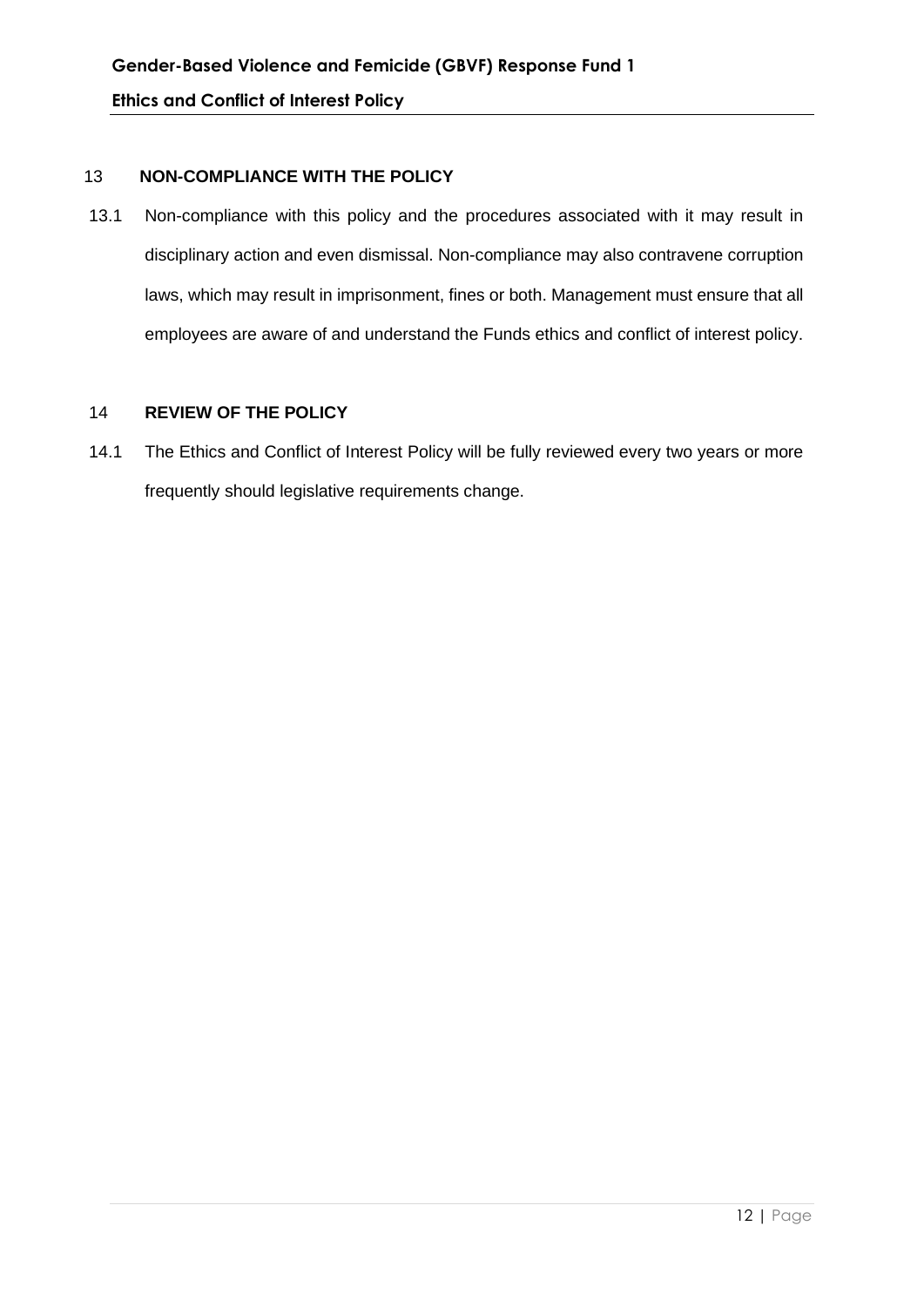#### 13 **NON-COMPLIANCE WITH THE POLICY**

13.1 Non-compliance with this policy and the procedures associated with it may result in disciplinary action and even dismissal. Non-compliance may also contravene corruption laws, which may result in imprisonment, fines or both. Management must ensure that all employees are aware of and understand the Funds ethics and conflict of interest policy.

#### 14 **REVIEW OF THE POLICY**

14.1 The Ethics and Conflict of Interest Policy will be fully reviewed every two years or more frequently should legislative requirements change.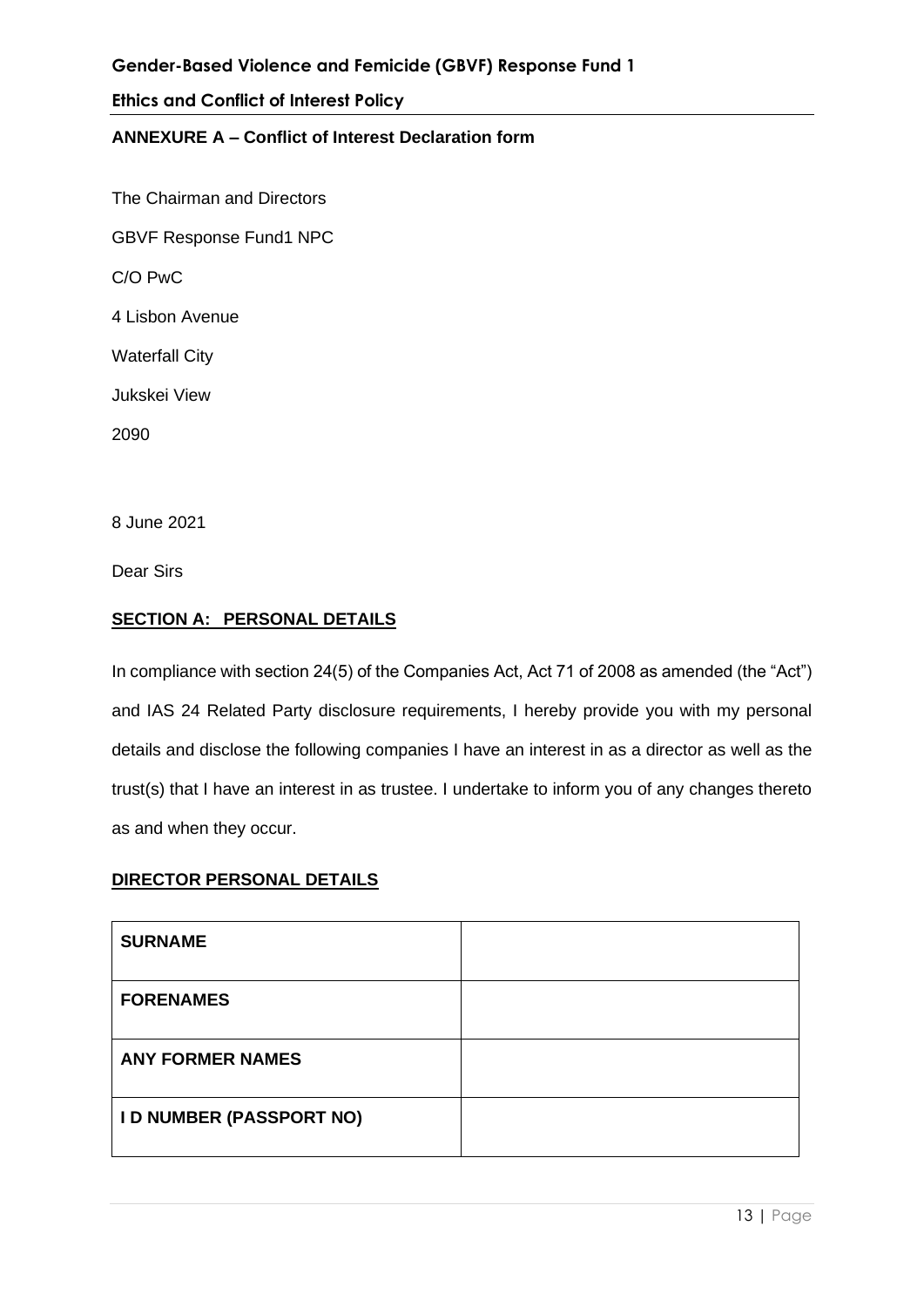## **ANNEXURE A – Conflict of Interest Declaration form**

The Chairman and Directors GBVF Response Fund1 NPC C/O PwC 4 Lisbon Avenue Waterfall City Jukskei View 2090

8 June 2021

Dear Sirs

#### **SECTION A: PERSONAL DETAILS**

In compliance with section 24(5) of the Companies Act, Act 71 of 2008 as amended (the "Act") and IAS 24 Related Party disclosure requirements, I hereby provide you with my personal details and disclose the following companies I have an interest in as a director as well as the trust(s) that I have an interest in as trustee. I undertake to inform you of any changes thereto as and when they occur.

## **DIRECTOR PERSONAL DETAILS**

| <b>SURNAME</b>                  |  |
|---------------------------------|--|
| <b>FORENAMES</b>                |  |
| <b>ANY FORMER NAMES</b>         |  |
| <b>I D NUMBER (PASSPORT NO)</b> |  |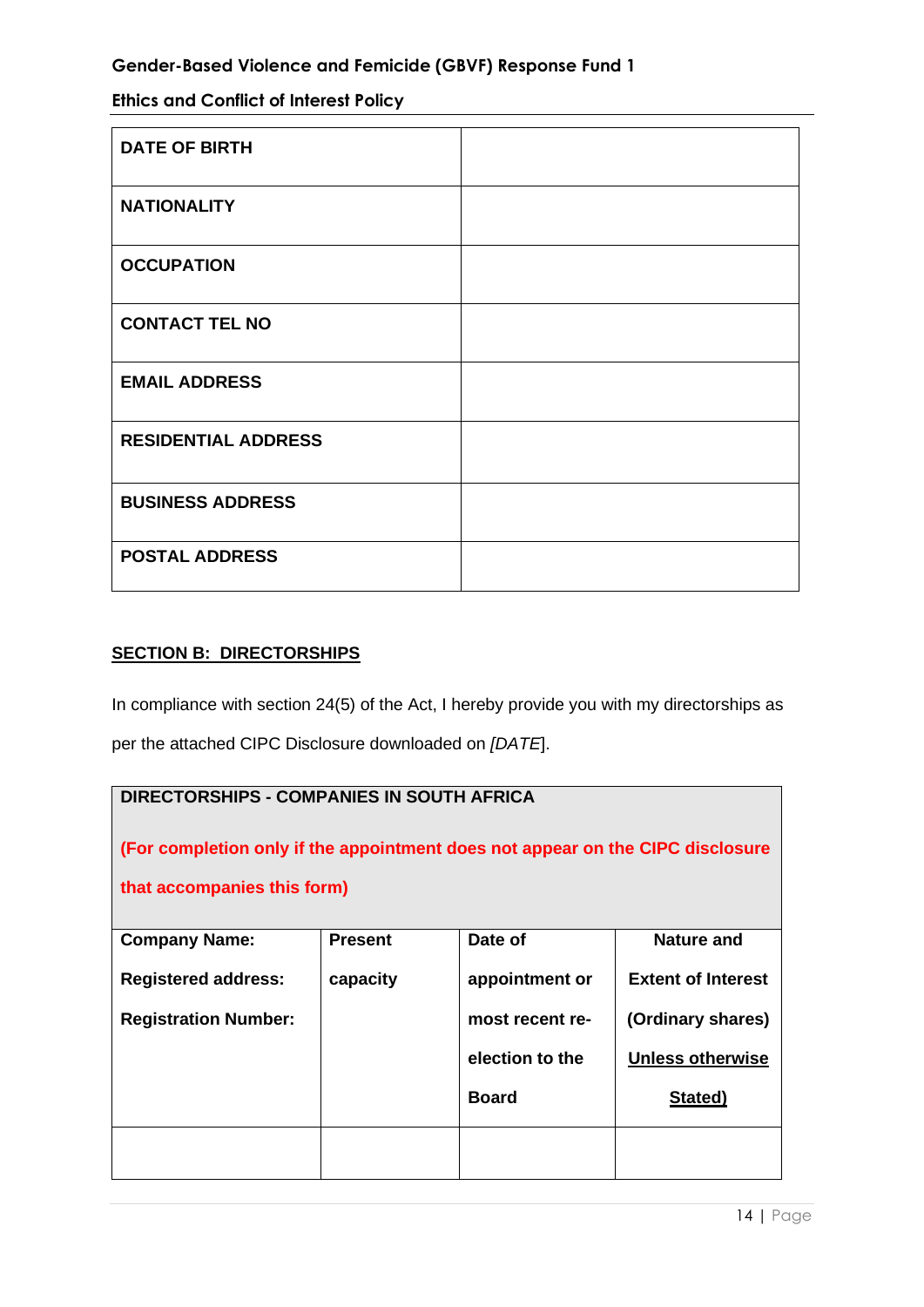**Ethics and Conflict of Interest Policy**

| <b>DATE OF BIRTH</b>       |  |
|----------------------------|--|
| <b>NATIONALITY</b>         |  |
| <b>OCCUPATION</b>          |  |
| <b>CONTACT TEL NO</b>      |  |
| <b>EMAIL ADDRESS</b>       |  |
| <b>RESIDENTIAL ADDRESS</b> |  |
| <b>BUSINESS ADDRESS</b>    |  |
| <b>POSTAL ADDRESS</b>      |  |

# **SECTION B: DIRECTORSHIPS**

In compliance with section 24(5) of the Act, I hereby provide you with my directorships as per the attached CIPC Disclosure downloaded on *[DATE*].

# **DIRECTORSHIPS - COMPANIES IN SOUTH AFRICA**

**(For completion only if the appointment does not appear on the CIPC disclosure** 

**that accompanies this form)**

| <b>Company Name:</b>        | <b>Present</b> | Date of         | <b>Nature and</b>         |
|-----------------------------|----------------|-----------------|---------------------------|
| <b>Registered address:</b>  | capacity       | appointment or  | <b>Extent of Interest</b> |
| <b>Registration Number:</b> |                | most recent re- | (Ordinary shares)         |
|                             |                | election to the | <b>Unless otherwise</b>   |
|                             |                | <b>Board</b>    | Stated)                   |
|                             |                |                 |                           |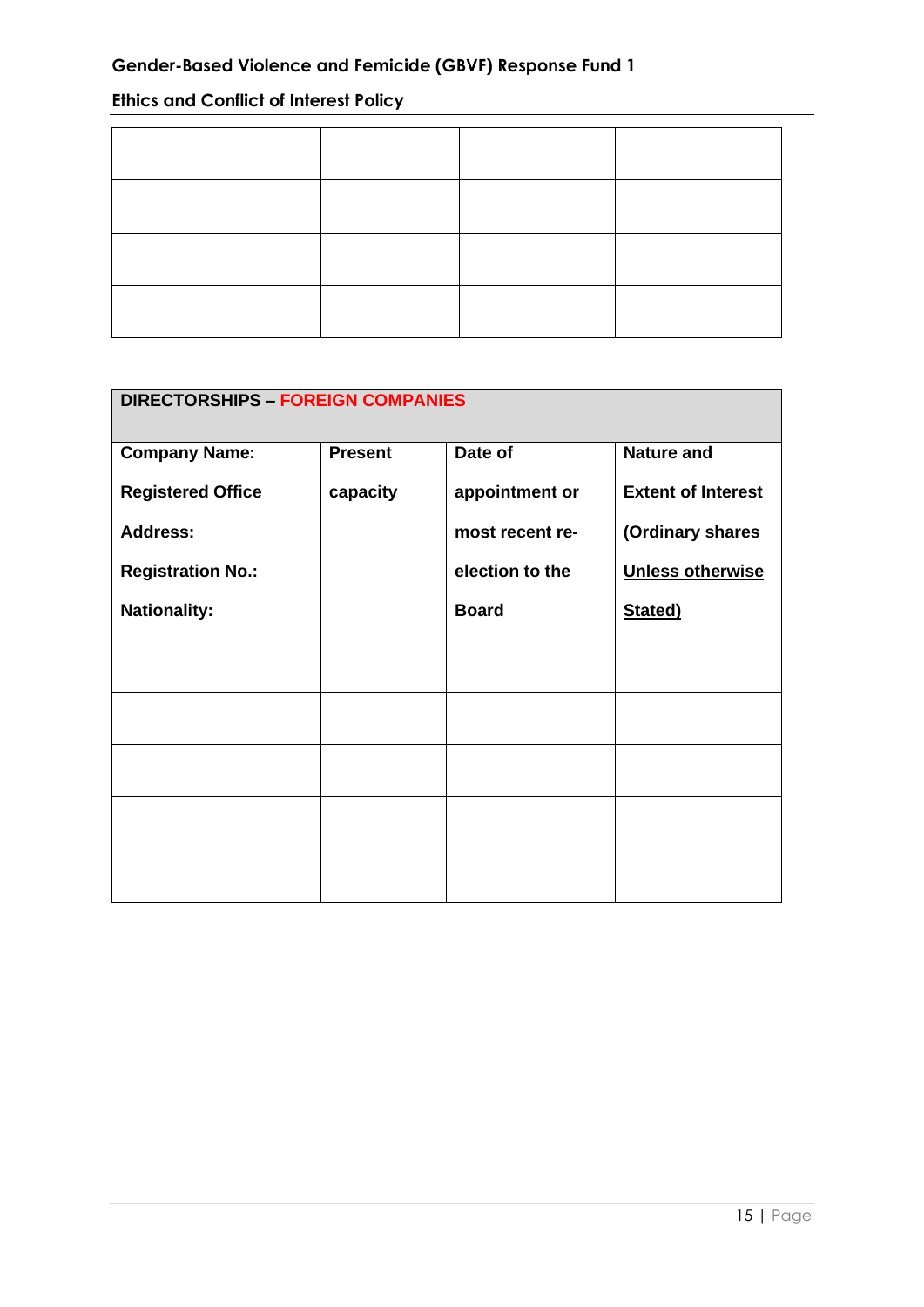# **Ethics and Conflict of Interest Policy**

| <b>DIRECTORSHIPS - FOREIGN COMPANIES</b> |                |                 |                           |
|------------------------------------------|----------------|-----------------|---------------------------|
| <b>Company Name:</b>                     | <b>Present</b> | Date of         | <b>Nature and</b>         |
| <b>Registered Office</b>                 | capacity       | appointment or  | <b>Extent of Interest</b> |
| <b>Address:</b>                          |                | most recent re- | (Ordinary shares          |
| <b>Registration No.:</b>                 |                | election to the | <b>Unless otherwise</b>   |
| <b>Nationality:</b>                      |                | <b>Board</b>    | Stated)                   |
|                                          |                |                 |                           |
|                                          |                |                 |                           |
|                                          |                |                 |                           |
|                                          |                |                 |                           |
|                                          |                |                 |                           |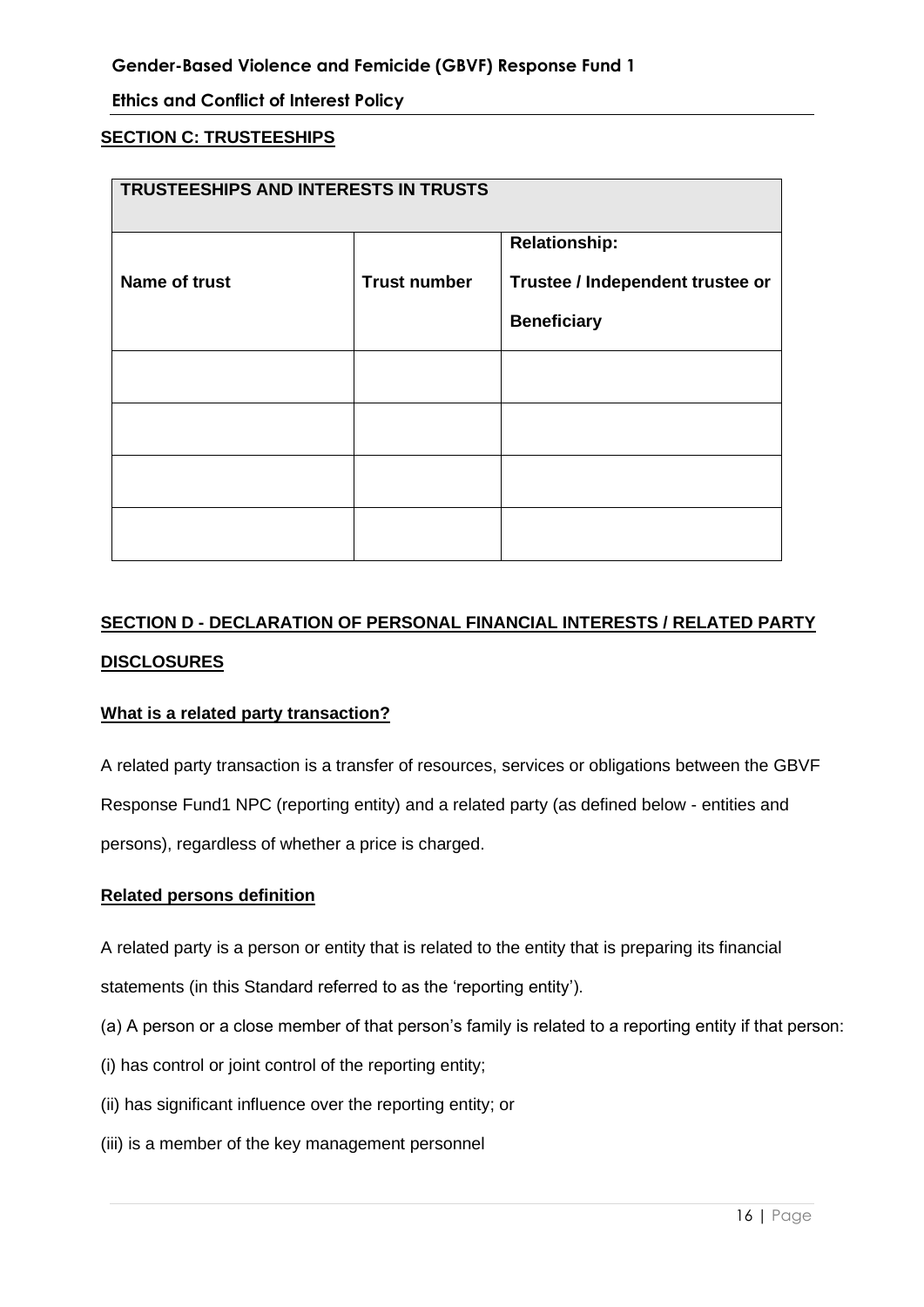#### **SECTION C: TRUSTEESHIPS**

| TRUSTEESHIPS AND INTERESTS IN TRUSTS |                     |                                  |  |
|--------------------------------------|---------------------|----------------------------------|--|
|                                      |                     | <b>Relationship:</b>             |  |
| <b>Name of trust</b>                 | <b>Trust number</b> | Trustee / Independent trustee or |  |
|                                      |                     | <b>Beneficiary</b>               |  |
|                                      |                     |                                  |  |
|                                      |                     |                                  |  |
|                                      |                     |                                  |  |
|                                      |                     |                                  |  |

# **SECTION D - DECLARATION OF PERSONAL FINANCIAL INTERESTS / RELATED PARTY DISCLOSURES**

#### **What is a related party transaction?**

A related party transaction is a transfer of resources, services or obligations between the GBVF Response Fund1 NPC (reporting entity) and a related party (as defined below - entities and persons), regardless of whether a price is charged.

#### **Related persons definition**

A related party is a person or entity that is related to the entity that is preparing its financial

statements (in this Standard referred to as the 'reporting entity').

- (a) A person or a close member of that person's family is related to a reporting entity if that person:
- (i) has control or joint control of the reporting entity;
- (ii) has significant influence over the reporting entity; or
- (iii) is a member of the key management personnel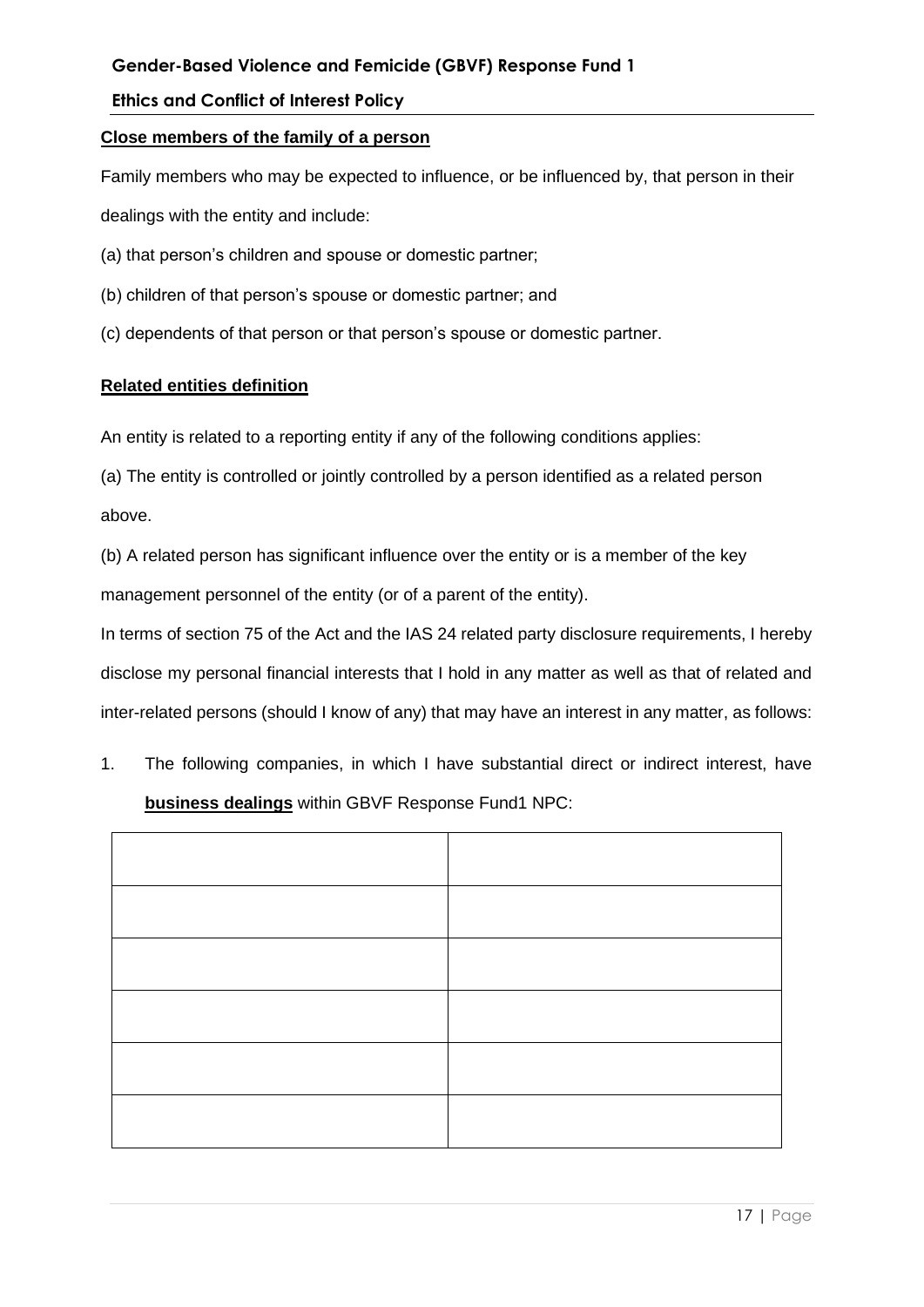## **Ethics and Conflict of Interest Policy**

#### **Close members of the family of a person**

Family members who may be expected to influence, or be influenced by, that person in their dealings with the entity and include:

- (a) that person's children and spouse or domestic partner;
- (b) children of that person's spouse or domestic partner; and
- (c) dependents of that person or that person's spouse or domestic partner.

## **Related entities definition**

An entity is related to a reporting entity if any of the following conditions applies:

(a) The entity is controlled or jointly controlled by a person identified as a related person above.

(b) A related person has significant influence over the entity or is a member of the key management personnel of the entity (or of a parent of the entity).

In terms of section 75 of the Act and the IAS 24 related party disclosure requirements, I hereby disclose my personal financial interests that I hold in any matter as well as that of related and inter-related persons (should I know of any) that may have an interest in any matter, as follows:

1. The following companies, in which I have substantial direct or indirect interest, have **business dealings** within GBVF Response Fund1 NPC: